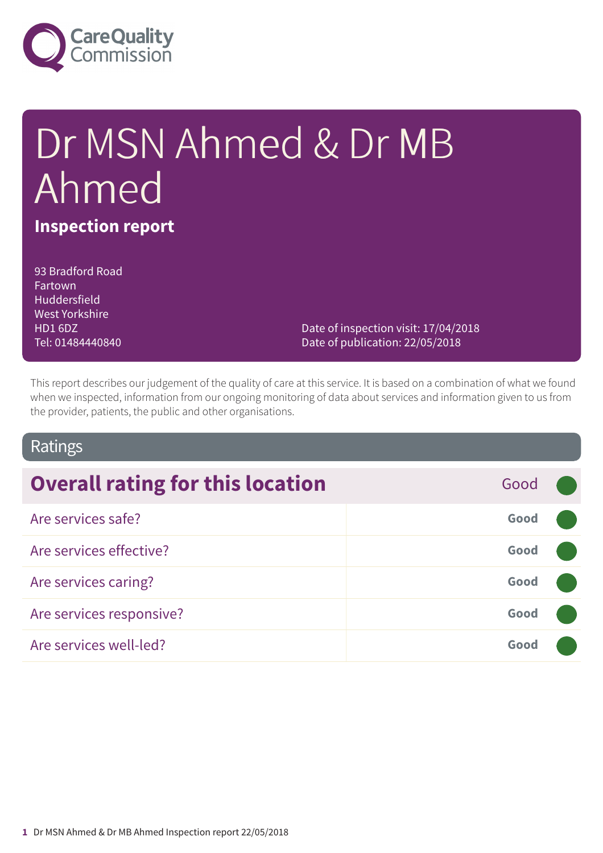

# Dr MSN Ahmed & Dr MB Ahmed **Inspection report**

93 Bradford Road Fartown Huddersfield West Yorkshire HD1 6DZ Tel: 01484440840

Date of inspection visit: 17/04/2018 Date of publication: 22/05/2018

This report describes our judgement of the quality of care at this service. It is based on a combination of what we found when we inspected, information from our ongoing monitoring of data about services and information given to us from the provider, patients, the public and other organisations.

### Ratings

| <b>Overall rating for this location</b> | Good |  |
|-----------------------------------------|------|--|
| Are services safe?                      | Good |  |
| Are services effective?                 | Good |  |
| Are services caring?                    | Good |  |
| Are services responsive?                | Good |  |
| Are services well-led?                  | Good |  |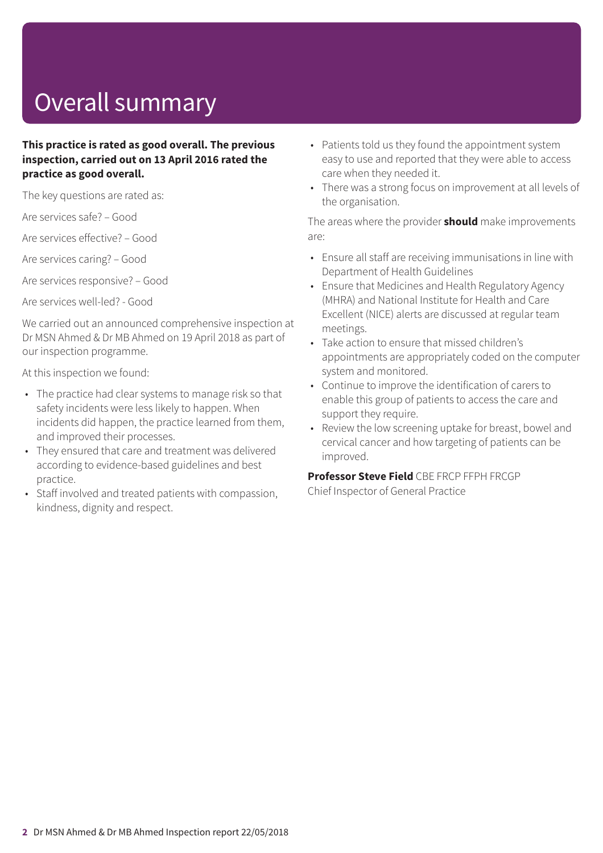## Overall summary

### **This practice is rated as good overall. The previous inspection, carried out on 13 April 2016 rated the practice as good overall.**

The key questions are rated as:

Are services safe? – Good

Are services effective? – Good

Are services caring? – Good

Are services responsive? – Good

Are services well-led? - Good

We carried out an announced comprehensive inspection at Dr MSN Ahmed & Dr MB Ahmed on 19 April 2018 as part of our inspection programme.

At this inspection we found:

- The practice had clear systems to manage risk so that safety incidents were less likely to happen. When incidents did happen, the practice learned from them, and improved their processes.
- They ensured that care and treatment was delivered according to evidence-based guidelines and best practice.
- Staff involved and treated patients with compassion, kindness, dignity and respect.
- Patients told us they found the appointment system easy to use and reported that they were able to access care when they needed it.
- There was a strong focus on improvement at all levels of the organisation.

The areas where the provider **should** make improvements are:

- Ensure all staff are receiving immunisations in line with Department of Health Guidelines
- Ensure that Medicines and Health Regulatory Agency (MHRA) and National Institute for Health and Care Excellent (NICE) alerts are discussed at regular team meetings.
- Take action to ensure that missed children's appointments are appropriately coded on the computer system and monitored.
- Continue to improve the identification of carers to enable this group of patients to access the care and support they require.
- Review the low screening uptake for breast, bowel and cervical cancer and how targeting of patients can be improved.

**Professor Steve Field** CBE FRCP FFPH FRCGP

Chief Inspector of General Practice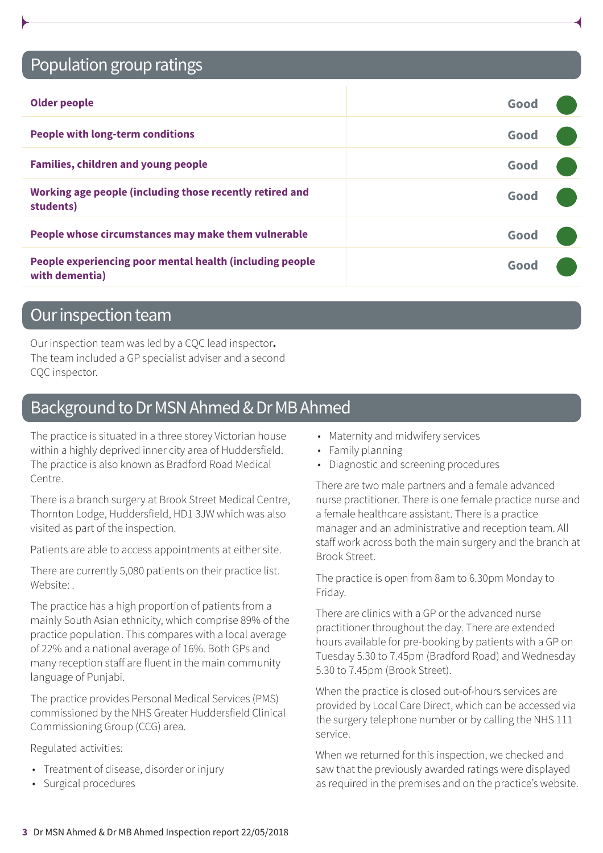### Population group ratings

| <b>Older people</b>                                                        | Good |  |
|----------------------------------------------------------------------------|------|--|
| <b>People with long-term conditions</b>                                    | Good |  |
| <b>Families, children and young people</b>                                 | Good |  |
| Working age people (including those recently retired and<br>students)      | Good |  |
| People whose circumstances may make them vulnerable                        | Good |  |
| People experiencing poor mental health (including people<br>with dementia) | Good |  |

### Our inspection team

Our inspection team was led by a CQC lead inspector**.** The team included a GP specialist adviser and a second CQC inspector.

### Background to Dr MSN Ahmed & Dr MB Ahmed

The practice is situated in a three storey Victorian house within a highly deprived inner city area of Huddersfield. The practice is also known as Bradford Road Medical Centre.

There is a branch surgery at Brook Street Medical Centre, Thornton Lodge, Huddersfield, HD1 3JW which was also visited as part of the inspection.

Patients are able to access appointments at either site.

There are currently 5,080 patients on their practice list. Website:

The practice has a high proportion of patients from a mainly South Asian ethnicity, which comprise 89% of the practice population. This compares with a local average of 22% and a national average of 16%. Both GPs and many reception staff are fluent in the main community language of Punjabi.

The practice provides Personal Medical Services (PMS) commissioned by the NHS Greater Huddersfield Clinical Commissioning Group (CCG) area.

Regulated activities:

- Treatment of disease, disorder or injury
- Surgical procedures
- Maternity and midwifery services
- Family planning
- Diagnostic and screening procedures

There are two male partners and a female advanced nurse practitioner. There is one female practice nurse and a female healthcare assistant. There is a practice manager and an administrative and reception team. All staff work across both the main surgery and the branch at Brook Street.

The practice is open from 8am to 6.30pm Monday to Friday.

There are clinics with a GP or the advanced nurse practitioner throughout the day. There are extended hours available for pre-booking by patients with a GP on Tuesday 5.30 to 7.45pm (Bradford Road) and Wednesday 5.30 to 7.45pm (Brook Street).

When the practice is closed out-of-hours services are provided by Local Care Direct, which can be accessed via the surgery telephone number or by calling the NHS 111 service.

When we returned for this inspection, we checked and saw that the previously awarded ratings were displayed as required in the premises and on the practice's website.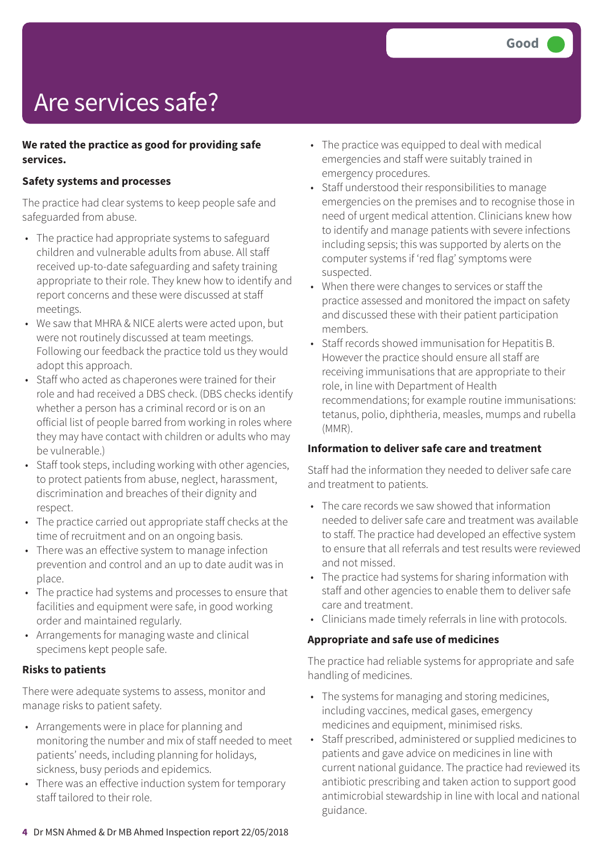## Are services safe?

### **We rated the practice as good for providing safe services.**

### **Safety systems and processes**

The practice had clear systems to keep people safe and safeguarded from abuse.

- The practice had appropriate systems to safeguard children and vulnerable adults from abuse. All staff received up-to-date safeguarding and safety training appropriate to their role. They knew how to identify and report concerns and these were discussed at staff meetings.
- We saw that MHRA & NICE alerts were acted upon, but were not routinely discussed at team meetings. Following our feedback the practice told us they would adopt this approach.
- Staff who acted as chaperones were trained for their role and had received a DBS check. (DBS checks identify whether a person has a criminal record or is on an official list of people barred from working in roles where they may have contact with children or adults who may be vulnerable.)
- Staff took steps, including working with other agencies, to protect patients from abuse, neglect, harassment, discrimination and breaches of their dignity and respect.
- The practice carried out appropriate staff checks at the time of recruitment and on an ongoing basis.
- There was an effective system to manage infection prevention and control and an up to date audit was in place.
- The practice had systems and processes to ensure that facilities and equipment were safe, in good working order and maintained regularly.
- Arrangements for managing waste and clinical specimens kept people safe.

#### **Risks to patients**

There were adequate systems to assess, monitor and manage risks to patient safety.

- Arrangements were in place for planning and monitoring the number and mix of staff needed to meet patients' needs, including planning for holidays, sickness, busy periods and epidemics.
- There was an effective induction system for temporary staff tailored to their role.
- The practice was equipped to deal with medical emergencies and staff were suitably trained in emergency procedures.
- Staff understood their responsibilities to manage emergencies on the premises and to recognise those in need of urgent medical attention. Clinicians knew how to identify and manage patients with severe infections including sepsis; this was supported by alerts on the computer systems if 'red flag' symptoms were suspected.
- When there were changes to services or staff the practice assessed and monitored the impact on safety and discussed these with their patient participation members.
- Staff records showed immunisation for Hepatitis B. However the practice should ensure all staff are receiving immunisations that are appropriate to their role, in line with Department of Health recommendations; for example routine immunisations: tetanus, polio, diphtheria, measles, mumps and rubella (MMR).

#### **Information to deliver safe care and treatment**

Staff had the information they needed to deliver safe care and treatment to patients.

- The care records we saw showed that information needed to deliver safe care and treatment was available to staff. The practice had developed an effective system to ensure that all referrals and test results were reviewed and not missed.
- The practice had systems for sharing information with staff and other agencies to enable them to deliver safe care and treatment.
- Clinicians made timely referrals in line with protocols.

#### **Appropriate and safe use of medicines**

The practice had reliable systems for appropriate and safe handling of medicines.

- The systems for managing and storing medicines, including vaccines, medical gases, emergency medicines and equipment, minimised risks.
- Staff prescribed, administered or supplied medicines to patients and gave advice on medicines in line with current national guidance. The practice had reviewed its antibiotic prescribing and taken action to support good antimicrobial stewardship in line with local and national guidance.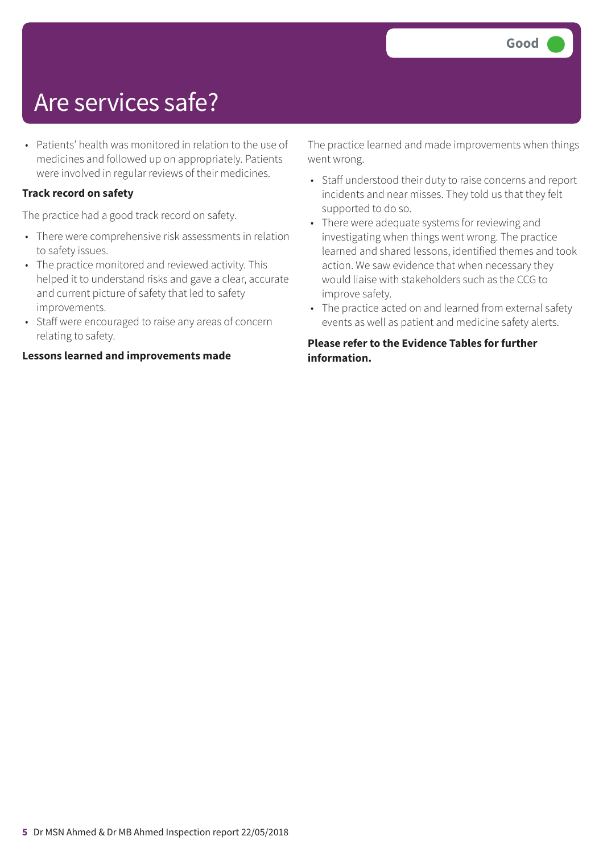### Are services safe?

• Patients' health was monitored in relation to the use of medicines and followed up on appropriately. Patients were involved in regular reviews of their medicines.

### **Track record on safety**

The practice had a good track record on safety.

- There were comprehensive risk assessments in relation to safety issues.
- The practice monitored and reviewed activity. This helped it to understand risks and gave a clear, accurate and current picture of safety that led to safety improvements.
- Staff were encouraged to raise any areas of concern relating to safety.

#### **Lessons learned and improvements made**

The practice learned and made improvements when things went wrong.

- Staff understood their duty to raise concerns and report incidents and near misses. They told us that they felt supported to do so.
- There were adequate systems for reviewing and investigating when things went wrong. The practice learned and shared lessons, identified themes and took action. We saw evidence that when necessary they would liaise with stakeholders such as the CCG to improve safety.
- The practice acted on and learned from external safety events as well as patient and medicine safety alerts.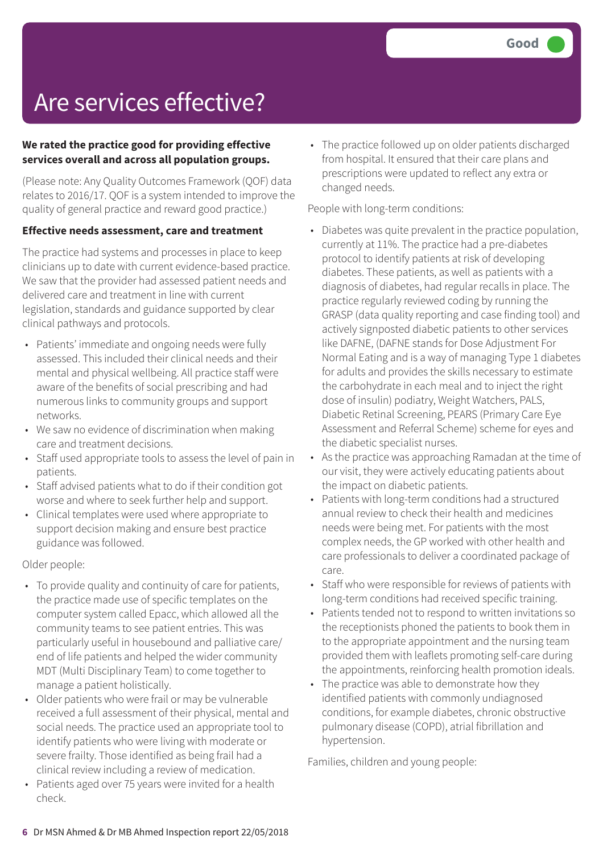### **We rated the practice good for providing effective services overall and across all population groups.**

(Please note: Any Quality Outcomes Framework (QOF) data relates to 2016/17. QOF is a system intended to improve the quality of general practice and reward good practice.)

### **Effective needs assessment, care and treatment**

The practice had systems and processes in place to keep clinicians up to date with current evidence-based practice. We saw that the provider had assessed patient needs and delivered care and treatment in line with current legislation, standards and guidance supported by clear clinical pathways and protocols.

- Patients' immediate and ongoing needs were fully assessed. This included their clinical needs and their mental and physical wellbeing. All practice staff were aware of the benefits of social prescribing and had numerous links to community groups and support networks.
- We saw no evidence of discrimination when making care and treatment decisions.
- Staff used appropriate tools to assess the level of pain in patients.
- Staff advised patients what to do if their condition got worse and where to seek further help and support.
- Clinical templates were used where appropriate to support decision making and ensure best practice guidance was followed.

Older people:

- To provide quality and continuity of care for patients, the practice made use of specific templates on the computer system called Epacc, which allowed all the community teams to see patient entries. This was particularly useful in housebound and palliative care/ end of life patients and helped the wider community MDT (Multi Disciplinary Team) to come together to manage a patient holistically.
- Older patients who were frail or may be vulnerable received a full assessment of their physical, mental and social needs. The practice used an appropriate tool to identify patients who were living with moderate or severe frailty. Those identified as being frail had a clinical review including a review of medication.
- Patients aged over 75 years were invited for a health check.

• The practice followed up on older patients discharged from hospital. It ensured that their care plans and prescriptions were updated to reflect any extra or changed needs.

People with long-term conditions:

- Diabetes was quite prevalent in the practice population, currently at 11%. The practice had a pre-diabetes protocol to identify patients at risk of developing diabetes. These patients, as well as patients with a diagnosis of diabetes, had regular recalls in place. The practice regularly reviewed coding by running the GRASP (data quality reporting and case finding tool) and actively signposted diabetic patients to other services like DAFNE, (DAFNE stands for Dose Adjustment For Normal Eating and is a way of managing Type 1 diabetes for adults and provides the skills necessary to estimate the carbohydrate in each meal and to inject the right dose of insulin) podiatry, Weight Watchers, PALS, Diabetic Retinal Screening, PEARS (Primary Care Eye Assessment and Referral Scheme) scheme for eyes and the diabetic specialist nurses.
- As the practice was approaching Ramadan at the time of our visit, they were actively educating patients about the impact on diabetic patients.
- Patients with long-term conditions had a structured annual review to check their health and medicines needs were being met. For patients with the most complex needs, the GP worked with other health and care professionals to deliver a coordinated package of care.
- Staff who were responsible for reviews of patients with long-term conditions had received specific training.
- Patients tended not to respond to written invitations so the receptionists phoned the patients to book them in to the appropriate appointment and the nursing team provided them with leaflets promoting self-care during the appointments, reinforcing health promotion ideals.
- The practice was able to demonstrate how they identified patients with commonly undiagnosed conditions, for example diabetes, chronic obstructive pulmonary disease (COPD), atrial fibrillation and hypertension.

Families, children and young people: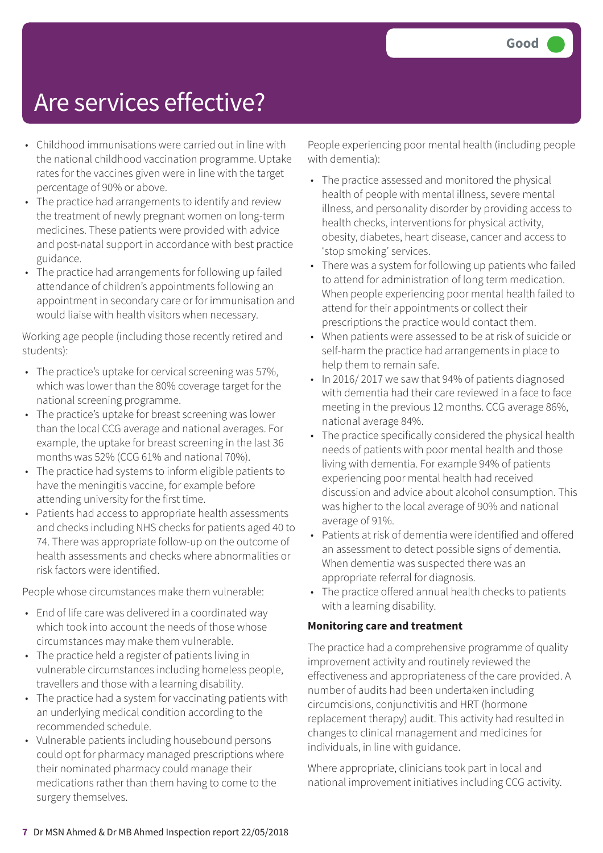- Childhood immunisations were carried out in line with the national childhood vaccination programme. Uptake rates for the vaccines given were in line with the target percentage of 90% or above.
- The practice had arrangements to identify and review the treatment of newly pregnant women on long-term medicines. These patients were provided with advice and post-natal support in accordance with best practice guidance.
- The practice had arrangements for following up failed attendance of children's appointments following an appointment in secondary care or for immunisation and would liaise with health visitors when necessary.

Working age people (including those recently retired and students):

- The practice's uptake for cervical screening was 57%, which was lower than the 80% coverage target for the national screening programme.
- The practice's uptake for breast screening was lower than the local CCG average and national averages. For example, the uptake for breast screening in the last 36 months was 52% (CCG 61% and national 70%).
- The practice had systems to inform eligible patients to have the meningitis vaccine, for example before attending university for the first time.
- Patients had access to appropriate health assessments and checks including NHS checks for patients aged 40 to 74. There was appropriate follow-up on the outcome of health assessments and checks where abnormalities or risk factors were identified.

People whose circumstances make them vulnerable:

- End of life care was delivered in a coordinated way which took into account the needs of those whose circumstances may make them vulnerable.
- The practice held a register of patients living in vulnerable circumstances including homeless people, travellers and those with a learning disability.
- The practice had a system for vaccinating patients with an underlying medical condition according to the recommended schedule.
- Vulnerable patients including housebound persons could opt for pharmacy managed prescriptions where their nominated pharmacy could manage their medications rather than them having to come to the surgery themselves.

People experiencing poor mental health (including people with dementia):

- The practice assessed and monitored the physical health of people with mental illness, severe mental illness, and personality disorder by providing access to health checks, interventions for physical activity, obesity, diabetes, heart disease, cancer and access to 'stop smoking' services.
- There was a system for following up patients who failed to attend for administration of long term medication. When people experiencing poor mental health failed to attend for their appointments or collect their prescriptions the practice would contact them.
- When patients were assessed to be at risk of suicide or self-harm the practice had arrangements in place to help them to remain safe.
- In 2016/ 2017 we saw that 94% of patients diagnosed with dementia had their care reviewed in a face to face meeting in the previous 12 months. CCG average 86%, national average 84%.
- The practice specifically considered the physical health needs of patients with poor mental health and those living with dementia. For example 94% of patients experiencing poor mental health had received discussion and advice about alcohol consumption. This was higher to the local average of 90% and national average of 91%.
- Patients at risk of dementia were identified and offered an assessment to detect possible signs of dementia. When dementia was suspected there was an appropriate referral for diagnosis.
- The practice offered annual health checks to patients with a learning disability.

### **Monitoring care and treatment**

The practice had a comprehensive programme of quality improvement activity and routinely reviewed the effectiveness and appropriateness of the care provided. A number of audits had been undertaken including circumcisions, conjunctivitis and HRT (hormone replacement therapy) audit. This activity had resulted in changes to clinical management and medicines for individuals, in line with guidance.

Where appropriate, clinicians took part in local and national improvement initiatives including CCG activity.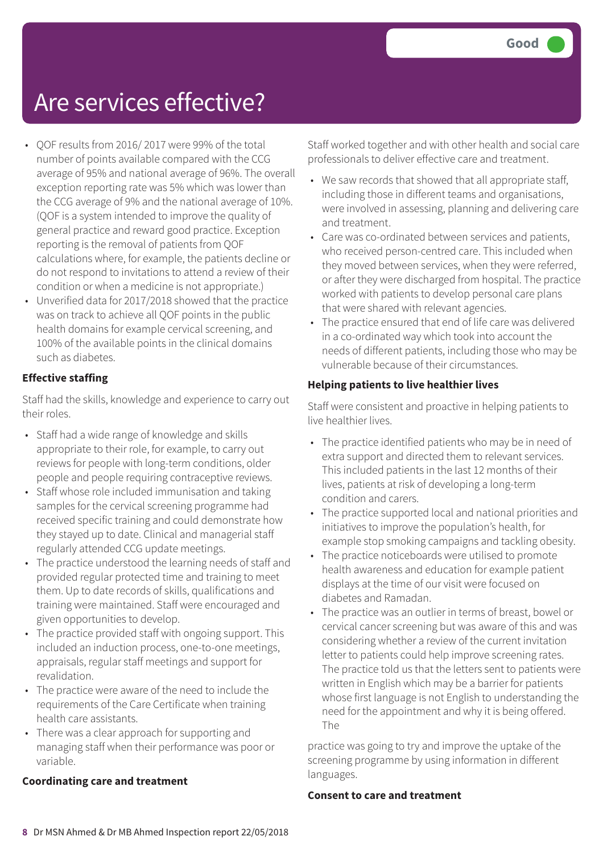- QOF results from 2016/ 2017 were 99% of the total number of points available compared with the CCG average of 95% and national average of 96%. The overall exception reporting rate was 5% which was lower than the CCG average of 9% and the national average of 10%. (QOF is a system intended to improve the quality of general practice and reward good practice. Exception reporting is the removal of patients from QOF calculations where, for example, the patients decline or do not respond to invitations to attend a review of their condition or when a medicine is not appropriate.)
- Unverified data for 2017/2018 showed that the practice was on track to achieve all QOF points in the public health domains for example cervical screening, and 100% of the available points in the clinical domains such as diabetes.

### **Effective staffing**

Staff had the skills, knowledge and experience to carry out their roles.

- Staff had a wide range of knowledge and skills appropriate to their role, for example, to carry out reviews for people with long-term conditions, older people and people requiring contraceptive reviews.
- Staff whose role included immunisation and taking samples for the cervical screening programme had received specific training and could demonstrate how they stayed up to date. Clinical and managerial staff regularly attended CCG update meetings.
- The practice understood the learning needs of staff and provided regular protected time and training to meet them. Up to date records of skills, qualifications and training were maintained. Staff were encouraged and given opportunities to develop.
- The practice provided staff with ongoing support. This included an induction process, one-to-one meetings, appraisals, regular staff meetings and support for revalidation.
- The practice were aware of the need to include the requirements of the Care Certificate when training health care assistants.
- There was a clear approach for supporting and managing staff when their performance was poor or variable.

#### **Coordinating care and treatment**

Staff worked together and with other health and social care professionals to deliver effective care and treatment.

- We saw records that showed that all appropriate staff, including those in different teams and organisations, were involved in assessing, planning and delivering care and treatment.
- Care was co-ordinated between services and patients, who received person-centred care. This included when they moved between services, when they were referred, or after they were discharged from hospital. The practice worked with patients to develop personal care plans that were shared with relevant agencies.
- The practice ensured that end of life care was delivered in a co-ordinated way which took into account the needs of different patients, including those who may be vulnerable because of their circumstances.

### **Helping patients to live healthier lives**

Staff were consistent and proactive in helping patients to live healthier lives.

- The practice identified patients who may be in need of extra support and directed them to relevant services. This included patients in the last 12 months of their lives, patients at risk of developing a long-term condition and carers.
- The practice supported local and national priorities and initiatives to improve the population's health, for example stop smoking campaigns and tackling obesity.
- The practice noticeboards were utilised to promote health awareness and education for example patient displays at the time of our visit were focused on diabetes and Ramadan.
- The practice was an outlier in terms of breast, bowel or cervical cancer screening but was aware of this and was considering whether a review of the current invitation letter to patients could help improve screening rates. The practice told us that the letters sent to patients were written in English which may be a barrier for patients whose first language is not English to understanding the need for the appointment and why it is being offered. The

practice was going to try and improve the uptake of the screening programme by using information in different languages.

#### **Consent to care and treatment**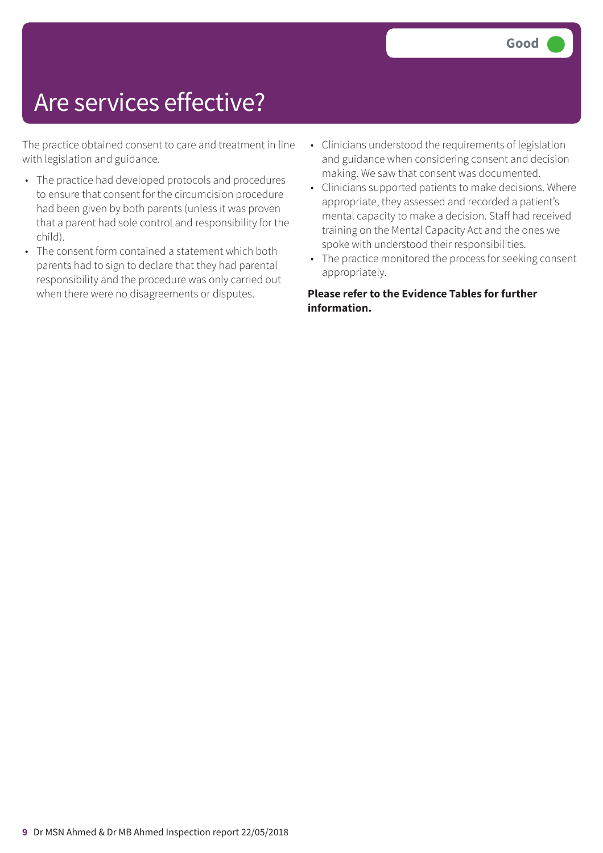The practice obtained consent to care and treatment in line with legislation and guidance.

- The practice had developed protocols and procedures to ensure that consent for the circumcision procedure had been given by both parents (unless it was proven that a parent had sole control and responsibility for the child).
- The consent form contained a statement which both parents had to sign to declare that they had parental responsibility and the procedure was only carried out when there were no disagreements or disputes.
- Clinicians understood the requirements of legislation and guidance when considering consent and decision making. We saw that consent was documented.
- Clinicians supported patients to make decisions. Where appropriate, they assessed and recorded a patient's mental capacity to make a decision. Staff had received training on the Mental Capacity Act and the ones we spoke with understood their responsibilities.
- The practice monitored the process for seeking consent appropriately.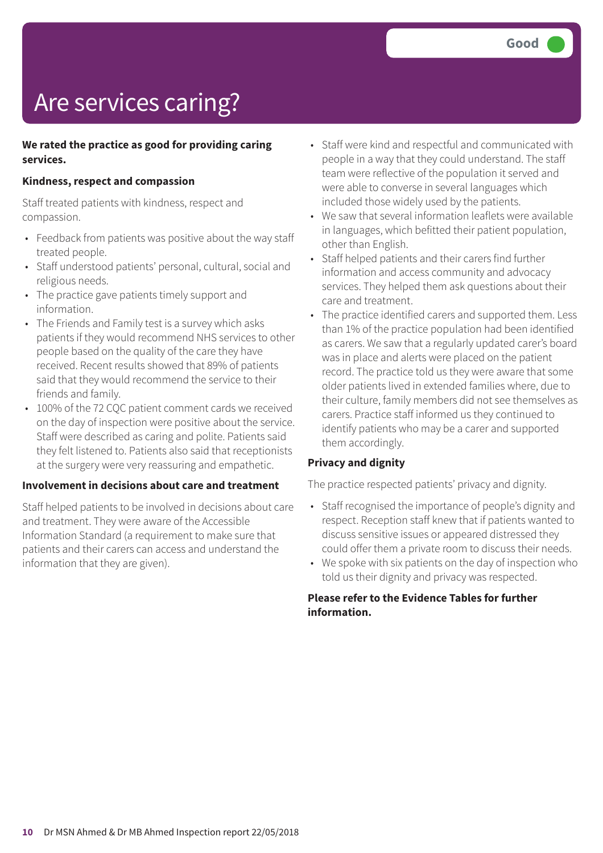## Are services caring?

### **We rated the practice as good for providing caring services.**

### **Kindness, respect and compassion**

Staff treated patients with kindness, respect and compassion.

- Feedback from patients was positive about the way staff treated people.
- Staff understood patients' personal, cultural, social and religious needs.
- The practice gave patients timely support and information.
- The Friends and Family test is a survey which asks patients if they would recommend NHS services to other people based on the quality of the care they have received. Recent results showed that 89% of patients said that they would recommend the service to their friends and family.
- 100% of the 72 CQC patient comment cards we received on the day of inspection were positive about the service. Staff were described as caring and polite. Patients said they felt listened to. Patients also said that receptionists at the surgery were very reassuring and empathetic.

### **Involvement in decisions about care and treatment**

Staff helped patients to be involved in decisions about care and treatment. They were aware of the Accessible Information Standard (a requirement to make sure that patients and their carers can access and understand the information that they are given).

- Staff were kind and respectful and communicated with people in a way that they could understand. The staff team were reflective of the population it served and were able to converse in several languages which included those widely used by the patients.
- We saw that several information leaflets were available in languages, which befitted their patient population, other than English.
- Staff helped patients and their carers find further information and access community and advocacy services. They helped them ask questions about their care and treatment.
- The practice identified carers and supported them. Less than 1% of the practice population had been identified as carers. We saw that a regularly updated carer's board was in place and alerts were placed on the patient record. The practice told us they were aware that some older patients lived in extended families where, due to their culture, family members did not see themselves as carers. Practice staff informed us they continued to identify patients who may be a carer and supported them accordingly.

### **Privacy and dignity**

The practice respected patients' privacy and dignity.

- Staff recognised the importance of people's dignity and respect. Reception staff knew that if patients wanted to discuss sensitive issues or appeared distressed they could offer them a private room to discuss their needs.
- We spoke with six patients on the day of inspection who told us their dignity and privacy was respected.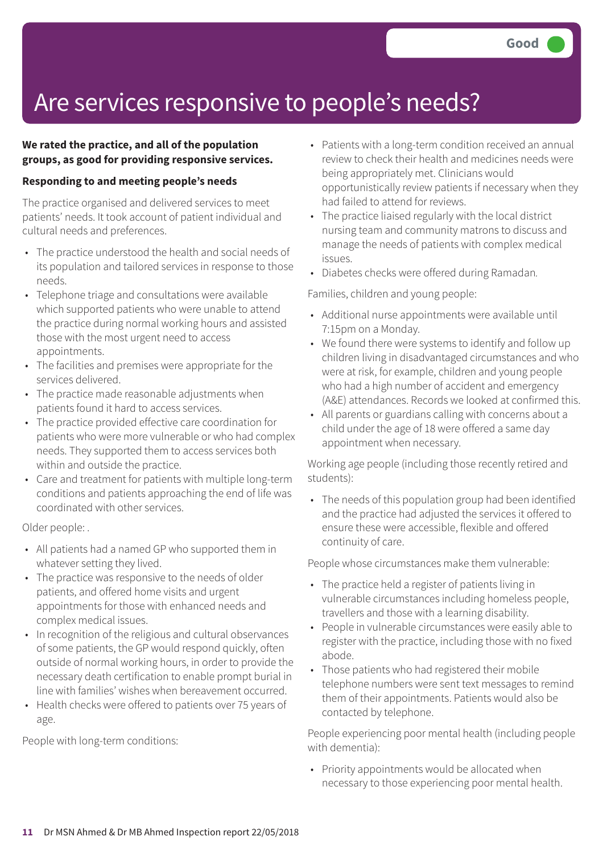### Are services responsive to people's needs?

### **We rated the practice, and all of the population groups, as good for providing responsive services.**

### **Responding to and meeting people's needs**

The practice organised and delivered services to meet patients' needs. It took account of patient individual and cultural needs and preferences.

- The practice understood the health and social needs of its population and tailored services in response to those needs.
- Telephone triage and consultations were available which supported patients who were unable to attend the practice during normal working hours and assisted those with the most urgent need to access appointments.
- The facilities and premises were appropriate for the services delivered.
- The practice made reasonable adjustments when patients found it hard to access services.
- The practice provided effective care coordination for patients who were more vulnerable or who had complex needs. They supported them to access services both within and outside the practice.
- Care and treatment for patients with multiple long-term conditions and patients approaching the end of life was coordinated with other services.

Older people: .

- All patients had a named GP who supported them in whatever setting they lived.
- The practice was responsive to the needs of older patients, and offered home visits and urgent appointments for those with enhanced needs and complex medical issues.
- In recognition of the religious and cultural observances of some patients, the GP would respond quickly, often outside of normal working hours, in order to provide the necessary death certification to enable prompt burial in line with families' wishes when bereavement occurred.
- Health checks were offered to patients over 75 years of age.

People with long-term conditions:

- Patients with a long-term condition received an annual review to check their health and medicines needs were being appropriately met. Clinicians would opportunistically review patients if necessary when they had failed to attend for reviews.
- The practice liaised regularly with the local district nursing team and community matrons to discuss and manage the needs of patients with complex medical issues.
- Diabetes checks were offered during Ramadan*.*

Families, children and young people:

- Additional nurse appointments were available until 7:15pm on a Monday.
- We found there were systems to identify and follow up children living in disadvantaged circumstances and who were at risk, for example, children and young people who had a high number of accident and emergency (A&E) attendances. Records we looked at confirmed this.
- All parents or guardians calling with concerns about a child under the age of 18 were offered a same day appointment when necessary.

Working age people (including those recently retired and students):

• The needs of this population group had been identified and the practice had adjusted the services it offered to ensure these were accessible, flexible and offered continuity of care.

People whose circumstances make them vulnerable:

- The practice held a register of patients living in vulnerable circumstances including homeless people, travellers and those with a learning disability.
- People in vulnerable circumstances were easily able to register with the practice, including those with no fixed abode.
- Those patients who had registered their mobile telephone numbers were sent text messages to remind them of their appointments. Patients would also be contacted by telephone.

People experiencing poor mental health (including people with dementia):

• Priority appointments would be allocated when necessary to those experiencing poor mental health.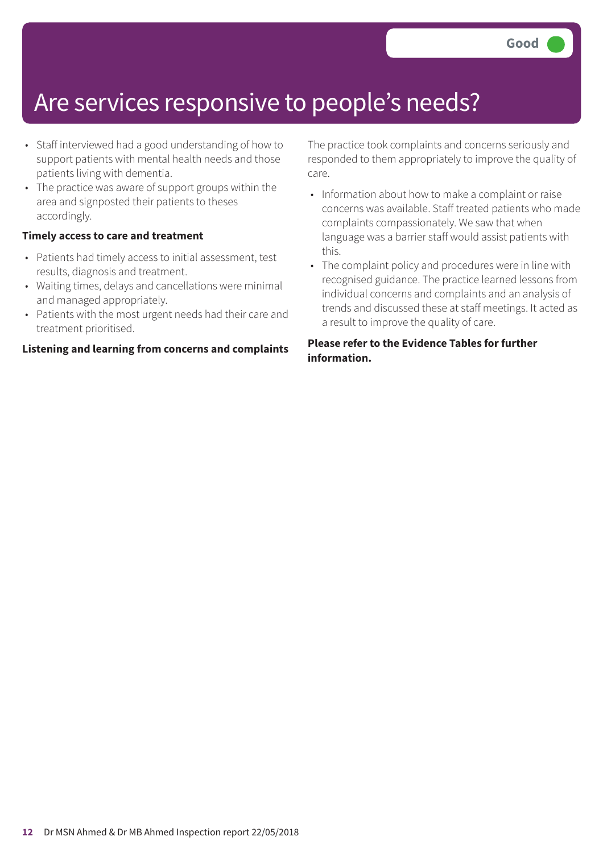### Are services responsive to people's needs?

- Staff interviewed had a good understanding of how to support patients with mental health needs and those patients living with dementia.
- The practice was aware of support groups within the area and signposted their patients to theses accordingly.

#### **Timely access to care and treatment**

- Patients had timely access to initial assessment, test results, diagnosis and treatment.
- Waiting times, delays and cancellations were minimal and managed appropriately.
- Patients with the most urgent needs had their care and treatment prioritised.

#### **Listening and learning from concerns and complaints**

The practice took complaints and concerns seriously and responded to them appropriately to improve the quality of care.

- Information about how to make a complaint or raise concerns was available. Staff treated patients who made complaints compassionately. We saw that when language was a barrier staff would assist patients with this.
- The complaint policy and procedures were in line with recognised guidance. The practice learned lessons from individual concerns and complaints and an analysis of trends and discussed these at staff meetings. It acted as a result to improve the quality of care.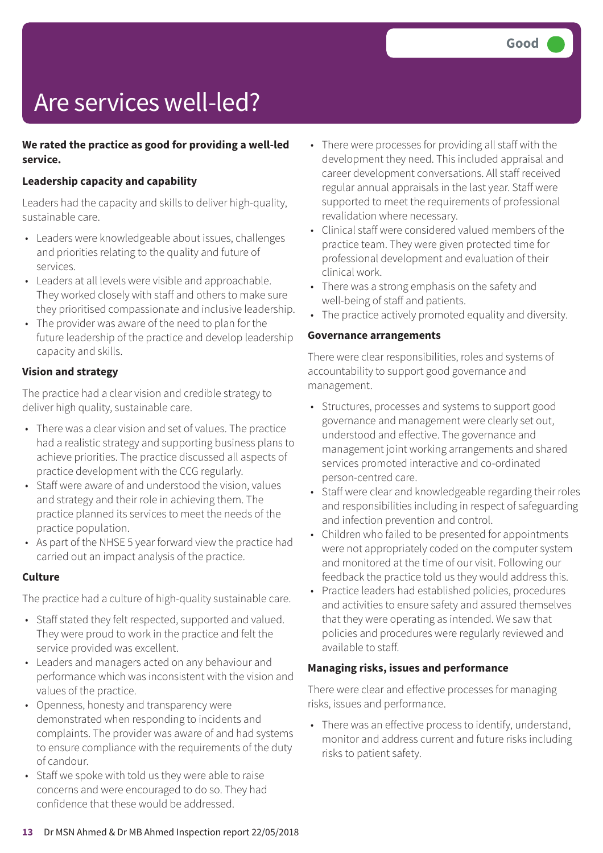## Are services well-led?

### **We rated the practice as good for providing a well-led service.**

### **Leadership capacity and capability**

Leaders had the capacity and skills to deliver high-quality, sustainable care.

- Leaders were knowledgeable about issues, challenges and priorities relating to the quality and future of services.
- Leaders at all levels were visible and approachable. They worked closely with staff and others to make sure they prioritised compassionate and inclusive leadership.
- The provider was aware of the need to plan for the future leadership of the practice and develop leadership capacity and skills.

### **Vision and strategy**

The practice had a clear vision and credible strategy to deliver high quality, sustainable care.

- There was a clear vision and set of values. The practice had a realistic strategy and supporting business plans to achieve priorities. The practice discussed all aspects of practice development with the CCG regularly.
- Staff were aware of and understood the vision, values and strategy and their role in achieving them. The practice planned its services to meet the needs of the practice population.
- As part of the NHSE 5 year forward view the practice had carried out an impact analysis of the practice.

#### **Culture**

The practice had a culture of high-quality sustainable care.

- Staff stated they felt respected, supported and valued. They were proud to work in the practice and felt the service provided was excellent.
- Leaders and managers acted on any behaviour and performance which was inconsistent with the vision and values of the practice.
- Openness, honesty and transparency were demonstrated when responding to incidents and complaints. The provider was aware of and had systems to ensure compliance with the requirements of the duty of candour.
- Staff we spoke with told us they were able to raise concerns and were encouraged to do so. They had confidence that these would be addressed.
- There were processes for providing all staff with the development they need. This included appraisal and career development conversations. All staff received regular annual appraisals in the last year. Staff were supported to meet the requirements of professional revalidation where necessary.
- Clinical staff were considered valued members of the practice team. They were given protected time for professional development and evaluation of their clinical work.
- There was a strong emphasis on the safety and well-being of staff and patients.
- The practice actively promoted equality and diversity.

#### **Governance arrangements**

There were clear responsibilities, roles and systems of accountability to support good governance and management.

- Structures, processes and systems to support good governance and management were clearly set out, understood and effective. The governance and management joint working arrangements and shared services promoted interactive and co-ordinated person-centred care.
- Staff were clear and knowledgeable regarding their roles and responsibilities including in respect of safeguarding and infection prevention and control.
- Children who failed to be presented for appointments were not appropriately coded on the computer system and monitored at the time of our visit. Following our feedback the practice told us they would address this.
- Practice leaders had established policies, procedures and activities to ensure safety and assured themselves that they were operating as intended. We saw that policies and procedures were regularly reviewed and available to staff.

### **Managing risks, issues and performance**

There were clear and effective processes for managing risks, issues and performance.

• There was an effective process to identify, understand, monitor and address current and future risks including risks to patient safety.